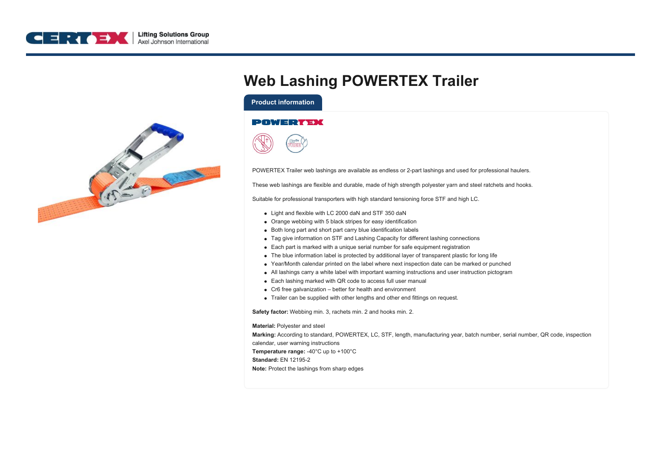



## **Web Lashing POWERTEX Trailer**

**Product information**

## **POWERTEX**



POWERTEX Trailer web lashings are available as endless or 2-part lashings and used for professional haulers.

These web lashings are flexible and durable, made of high strength polyester yarn and steel ratchets and hooks.

Suitable for professional transporters with high standard tensioning force STF and high LC.

- Light and flexible with LC 2000 daN and STF 350 daN
- Orange webbing with 5 black stripes for easy identification
- Both long part and short part carry blue identification labels
- Tag give information on STF and Lashing Capacity for different lashing connections
- Each part is marked with a unique serial number for safe equipment registration
- The blue information label is protected by additional layer of transparent plastic for long life
- Year/Month calendar printed on the label where next inspection date can be marked or punched
- All lashings carry a white label with important warning instructions and user instruction pictogram
- Each lashing marked with QR code to access full user manual
- Cr6 free galvanization better for health and environment
- Trailer can be supplied with other lengths and other end fittings on request.

**Safety factor:** Webbing min. 3, rachets min. 2 and hooks min. 2.

## **Material:** Polyester and steel

**Marking:** According to standard, POWERTEX, LC, STF, length, manufacturing year, batch number, serial number, QR code, inspection calendar, user warning instructions **Temperature range:** -40°C up to +100°C **Standard:** EN 12195-2 **Note:** Protect the lashings from sharp edges